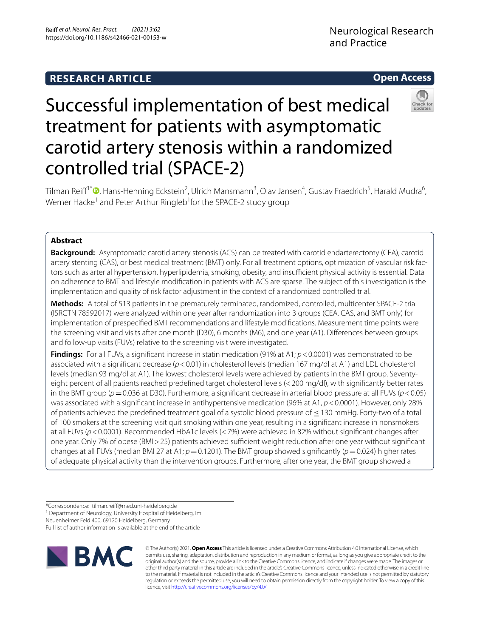# **RESEARCH ARTICLE**

# **Open Access**



# Successful implementation of best medical treatment for patients with asymptomatic carotid artery stenosis within a randomized controlled trial (SPACE-2)

Tilman Reiff<sup>1[\\*](http://orcid.org/0000-0001-7700-6134)</sup>®, Hans-Henning Eckstein<sup>2</sup>, Ulrich Mansmann<sup>3</sup>, Olav Jansen<sup>4</sup>, Gustav Fraedrich<sup>5</sup>, Harald Mudra<sup>6</sup>, Werner Hacke<sup>1</sup> and Peter Arthur Ringleb<sup>1</sup>for the SPACE-2 study group

### **Abstract**

**Background:** Asymptomatic carotid artery stenosis (ACS) can be treated with carotid endarterectomy (CEA), carotid artery stenting (CAS), or best medical treatment (BMT) only. For all treatment options, optimization of vascular risk factors such as arterial hypertension, hyperlipidemia, smoking, obesity, and insufficient physical activity is essential. Data on adherence to BMT and lifestyle modifcation in patients with ACS are sparse. The subject of this investigation is the implementation and quality of risk factor adjustment in the context of a randomized controlled trial.

**Methods:** A total of 513 patients in the prematurely terminated, randomized, controlled, multicenter SPACE-2 trial (ISRCTN 78592017) were analyzed within one year after randomization into 3 groups (CEA, CAS, and BMT only) for implementation of prespecifed BMT recommendations and lifestyle modifcations. Measurement time points were the screening visit and visits after one month (D30), 6 months (M6), and one year (A1). Diferences between groups and follow-up visits (FUVs) relative to the screening visit were investigated.

**Findings:** For all FUVs, a significant increase in statin medication (91% at A1;  $p < 0.0001$ ) was demonstrated to be associated with a signifcant decrease (*p*<0.01) in cholesterol levels (median 167 mg/dl at A1) and LDL cholesterol levels (median 93 mg/dl at A1). The lowest cholesterol levels were achieved by patients in the BMT group. Seventyeight percent of all patients reached predefned target cholesterol levels (<200 mg/dl), with signifcantly better rates in the BMT group (*p*=0.036 at D30). Furthermore, a signifcant decrease in arterial blood pressure at all FUVs (*p*<0.05) was associated with a significant increase in antihypertensive medication (96% at A1,  $p < 0.0001$ ). However, only 28% of patients achieved the predefned treatment goal of a systolic blood pressure of ≤130 mmHg. Forty-two of a total of 100 smokers at the screening visit quit smoking within one year, resulting in a signifcant increase in nonsmokers at all FUVs ( $p$ <0.0001). Recommended HbA1c levels (<7%) were achieved in 82% without significant changes after one year. Only 7% of obese (BMI > 25) patients achieved sufficient weight reduction after one year without significant changes at all FUVs (median BMI 27 at A1;  $p=0.1201$ ). The BMT group showed significantly ( $p=0.024$ ) higher rates of adequate physical activity than the intervention groups. Furthermore, after one year, the BMT group showed a

<sup>1</sup> Department of Neurology, University Hospital of Heidelberg, Im

Neuenheimer Feld 400, 69120 Heidelberg, Germany

Full list of author information is available at the end of the article



© The Author(s) 2021. **Open Access** This article is licensed under a Creative Commons Attribution 4.0 International License, which permits use, sharing, adaptation, distribution and reproduction in any medium or format, as long as you give appropriate credit to the original author(s) and the source, provide a link to the Creative Commons licence, and indicate if changes were made. The images or other third party material in this article are included in the article's Creative Commons licence, unless indicated otherwise in a credit line to the material. If material is not included in the article's Creative Commons licence and your intended use is not permitted by statutory regulation or exceeds the permitted use, you will need to obtain permission directly from the copyright holder. To view a copy of this licence, visit [http://creativecommons.org/licenses/by/4.0/.](http://creativecommons.org/licenses/by/4.0/)

<sup>\*</sup>Correspondence: tilman.reif@med.uni-heidelberg.de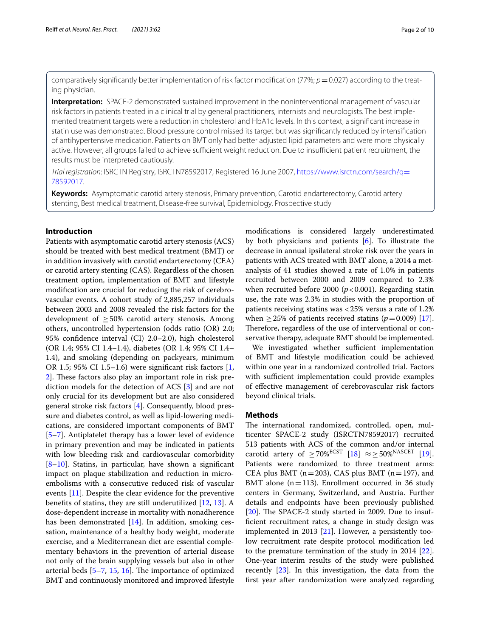comparatively significantly better implementation of risk factor modification (77%; *p*=0.027) according to the treat– ing physician.

**Interpretation:** SPACE-2 demonstrated sustained improvement in the noninterventional management of vascular risk factors in patients treated in a clinical trial by general practitioners, internists and neurologists. The best implemented treatment targets were a reduction in cholesterol and HbA1c levels. In this context, a signifcant increase in statin use was demonstrated. Blood pressure control missed its target but was signifcantly reduced by intensifcation of antihypertensive medication. Patients on BMT only had better adjusted lipid parameters and were more physically active. However, all groups failed to achieve sufficient weight reduction. Due to insufficient patient recruitment, the results must be interpreted cautiously.

*Trial registration*: ISRCTN Registry, ISRCTN78592017, Registered 16 June 2007, [https://www.isrctn.com/search?q](https://www.isrctn.com/search?q=78592017)= [78592017.](https://www.isrctn.com/search?q=78592017)

**Keywords:** Asymptomatic carotid artery stenosis, Primary prevention, Carotid endarterectomy, Carotid artery stenting, Best medical treatment, Disease-free survival, Epidemiology, Prospective study

#### **Introduction**

Patients with asymptomatic carotid artery stenosis (ACS) should be treated with best medical treatment (BMT) or in addition invasively with carotid endarterectomy (CEA) or carotid artery stenting (CAS). Regardless of the chosen treatment option, implementation of BMT and lifestyle modifcation are crucial for reducing the risk of cerebrovascular events. A cohort study of 2,885,257 individuals between 2003 and 2008 revealed the risk factors for the development of  $\geq 50\%$  carotid artery stenosis. Among others, uncontrolled hypertension (odds ratio (OR) 2.0; 95% confdence interval (CI) 2.0–2.0), high cholesterol (OR 1.4; 95% CI 1.4–1.4), diabetes (OR 1.4; 95% CI 1.4– 1.4), and smoking (depending on packyears, minimum OR 1.5; 95% CI 1.5–1.6) were signifcant risk factors [\[1](#page-8-0), [2\]](#page-8-1). These factors also play an important role in risk prediction models for the detection of ACS [\[3](#page-8-2)] and are not only crucial for its development but are also considered general stroke risk factors [\[4](#page-8-3)]. Consequently, blood pressure and diabetes control, as well as lipid-lowering medications, are considered important components of BMT [[5–](#page-8-4)[7\]](#page-8-5). Antiplatelet therapy has a lower level of evidence in primary prevention and may be indicated in patients with low bleeding risk and cardiovascular comorbidity [[8–](#page-8-6)[10\]](#page-8-7). Statins, in particular, have shown a signifcant impact on plaque stabilization and reduction in microembolisms with a consecutive reduced risk of vascular events [[11\]](#page-8-8). Despite the clear evidence for the preventive benefts of statins, they are still underutilized [\[12](#page-8-9), [13](#page-8-10)]. A dose-dependent increase in mortality with nonadherence has been demonstrated [[14](#page-8-11)]. In addition, smoking cessation, maintenance of a healthy body weight, moderate exercise, and a Mediterranean diet are essential complementary behaviors in the prevention of arterial disease not only of the brain supplying vessels but also in other arterial beds  $[5-7, 15, 16]$  $[5-7, 15, 16]$  $[5-7, 15, 16]$  $[5-7, 15, 16]$  $[5-7, 15, 16]$  $[5-7, 15, 16]$ . The importance of optimized BMT and continuously monitored and improved lifestyle modifcations is considered largely underestimated by both physicians and patients [[6\]](#page-8-14). To illustrate the decrease in annual ipsilateral stroke risk over the years in patients with ACS treated with BMT alone, a 2014 a metanalysis of 41 studies showed a rate of 1.0% in patients recruited between 2000 and 2009 compared to 2.3% when recruited before 2000  $(p<0.001)$ . Regarding statin use, the rate was 2.3% in studies with the proportion of patients receiving statins was <25% versus a rate of 1.2% when  $>$  25% of patients received statins ( $p=0.009$ ) [\[17](#page-8-15)]. Therefore, regardless of the use of interventional or conservative therapy, adequate BMT should be implemented.

We investigated whether sufficient implementation of BMT and lifestyle modifcation could be achieved within one year in a randomized controlled trial. Factors with sufficient implementation could provide examples of efective management of cerebrovascular risk factors beyond clinical trials.

#### **Methods**

The international randomized, controlled, open, multicenter SPACE-2 study (ISRCTN78592017) recruited 513 patients with ACS of the common and/or internal carotid artery of  $\geq 70\%^{\text{ECST}}$  [\[18](#page-8-16)]  $\approx \geq 50\%^{\text{NASCET}}$  [\[19](#page-8-17)]. Patients were randomized to three treatment arms: CEA plus BMT ( $n=203$ ), CAS plus BMT ( $n=197$ ), and BMT alone ( $n=113$ ). Enrollment occurred in 36 study centers in Germany, Switzerland, and Austria. Further details and endpoints have been previously published  $[20]$  $[20]$ . The SPACE-2 study started in 2009. Due to insuffcient recruitment rates, a change in study design was implemented in 2013 [\[21\]](#page-9-0). However, a persistently toolow recruitment rate despite protocol modifcation led to the premature termination of the study in 2014 [\[22](#page-9-1)]. One-year interim results of the study were published recently [[23\]](#page-9-2). In this investigation, the data from the frst year after randomization were analyzed regarding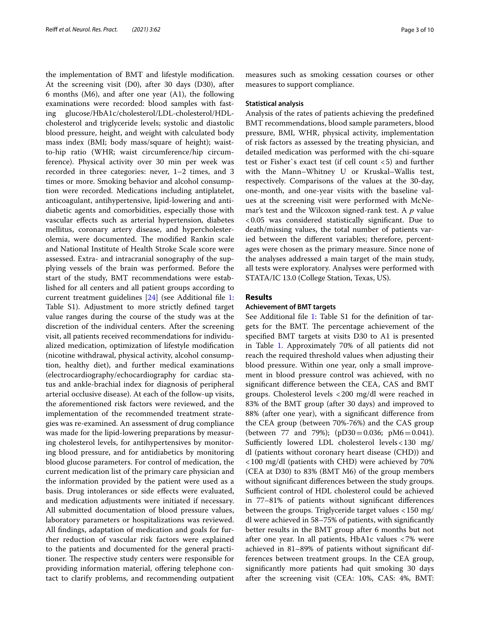the implementation of BMT and lifestyle modifcation. At the screening visit (D0), after 30 days (D30), after 6 months (M6), and after one year (A1), the following examinations were recorded: blood samples with fasting glucose/HbA1c/cholesterol/LDL-cholesterol/HDLcholesterol and triglyceride levels; systolic and diastolic blood pressure, height, and weight with calculated body mass index (BMI; body mass/square of height); waistto-hip ratio (WHR; waist circumference/hip circumference). Physical activity over 30 min per week was recorded in three categories: never, 1–2 times, and 3 times or more. Smoking behavior and alcohol consumption were recorded. Medications including antiplatelet, anticoagulant, antihypertensive, lipid-lowering and antidiabetic agents and comorbidities, especially those with vascular efects such as arterial hypertension, diabetes mellitus, coronary artery disease, and hypercholesterolemia, were documented. The modified Rankin scale and National Institute of Health Stroke Scale score were assessed. Extra- and intracranial sonography of the supplying vessels of the brain was performed. Before the start of the study, BMT recommendations were established for all centers and all patient groups according to current treatment guidelines [\[24](#page-9-3)] (see Additional fle [1](#page-7-0): Table S1). Adjustment to more strictly defned target value ranges during the course of the study was at the discretion of the individual centers. After the screening visit, all patients received recommendations for individualized medication, optimization of lifestyle modifcation (nicotine withdrawal, physical activity, alcohol consumption, healthy diet), and further medical examinations (electrocardiography/echocardiography for cardiac status and ankle-brachial index for diagnosis of peripheral arterial occlusive disease). At each of the follow-up visits, the aforementioned risk factors were reviewed, and the implementation of the recommended treatment strategies was re-examined. An assessment of drug compliance was made for the lipid-lowering preparations by measuring cholesterol levels, for antihypertensives by monitoring blood pressure, and for antidiabetics by monitoring blood glucose parameters. For control of medication, the current medication list of the primary care physician and the information provided by the patient were used as a basis. Drug intolerances or side efects were evaluated, and medication adjustments were initiated if necessary. All submitted documentation of blood pressure values, laboratory parameters or hospitalizations was reviewed. All fndings, adaptation of medication and goals for further reduction of vascular risk factors were explained to the patients and documented for the general practitioner. The respective study centers were responsible for providing information material, offering telephone contact to clarify problems, and recommending outpatient

measures such as smoking cessation courses or other measures to support compliance.

#### **Statistical analysis**

Analysis of the rates of patients achieving the predefned BMT recommendations, blood sample parameters, blood pressure, BMI, WHR, physical activity, implementation of risk factors as assessed by the treating physician, and detailed medication was performed with the chi-square test or Fisher`s exact test (if cell count <5) and further with the Mann–Whitney U or Kruskal–Wallis test, respectively. Comparisons of the values at the 30-day, one-month, and one-year visits with the baseline values at the screening visit were performed with McNemar's test and the Wilcoxon signed-rank test. A *p* value <0.05 was considered statistically signifcant. Due to death/missing values, the total number of patients varied between the diferent variables; therefore, percentages were chosen as the primary measure. Since none of the analyses addressed a main target of the main study, all tests were exploratory. Analyses were performed with STATA/IC 13.0 (College Station, Texas, US).

#### **Results**

#### **Achievement of BMT targets**

See Additional file [1:](#page-7-0) Table S1 for the definition of targets for the BMT. The percentage achievement of the specifed BMT targets at visits D30 to A1 is presented in Table [1](#page-3-0). Approximately 70% of all patients did not reach the required threshold values when adjusting their blood pressure. Within one year, only a small improvement in blood pressure control was achieved, with no signifcant diference between the CEA, CAS and BMT groups. Cholesterol levels <200 mg/dl were reached in 83% of the BMT group (after 30 days) and improved to 88% (after one year), with a signifcant diference from the CEA group (between 70%-76%) and the CAS group (between 77 and 79%); ( $pD30=0.036$ ;  $pM6=0.041$ ). Sufficiently lowered LDL cholesterol levels <  $130$  mg/ dl (patients without coronary heart disease (CHD)) and <100 mg/dl (patients with CHD) were achieved by 70% (CEA at D30) to 83% (BMT M6) of the group members without signifcant diferences between the study groups. Sufficient control of HDL cholesterol could be achieved in 77–81% of patients without signifcant diferences between the groups. Triglyceride target values <150 mg/ dl were achieved in 58–75% of patients, with signifcantly better results in the BMT group after 6 months but not after one year. In all patients, HbA1c values <7% were achieved in 81–89% of patients without signifcant differences between treatment groups. In the CEA group, signifcantly more patients had quit smoking 30 days after the screening visit (CEA: 10%, CAS: 4%, BMT: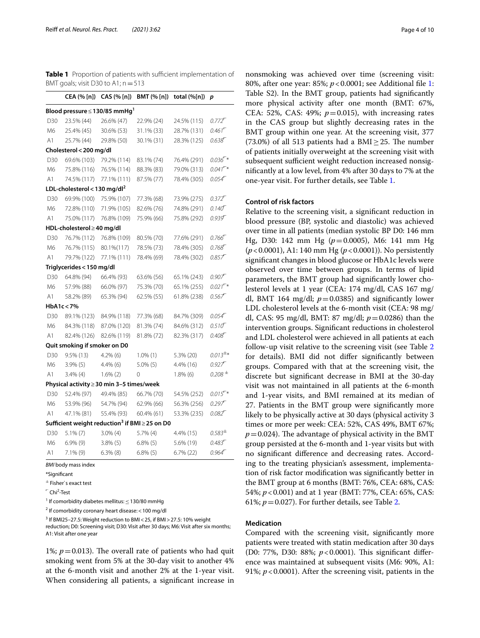<span id="page-3-0"></span>**Table 1** Proportion of patients with sufficient implementation of BMT goals; visit D30 to A1;  $n = 513$ 

|                                                                 | CEA (% [n])                              | CAS (% [n])   | BMT (% [n])   | total (%[n]) | р                                 |  |  |  |  |
|-----------------------------------------------------------------|------------------------------------------|---------------|---------------|--------------|-----------------------------------|--|--|--|--|
| Blood pressure $\leq$ 130/85 mmHg <sup>1</sup>                  |                                          |               |               |              |                                   |  |  |  |  |
| D30                                                             | 23.5% (44)                               | 26.6% (47)    | 22.9% (24)    | 24.5% (115)  | $0.772$ <sup><math>-</math></sup> |  |  |  |  |
| M6                                                              | 25.4% (45)                               | 30.6% (53)    | 31.1% (33)    | 28.7% (131)  | $0.461^{\square}$                 |  |  |  |  |
| A1                                                              | 25.7% (44)                               | 29.8% (50)    | 30.1% (31)    | 28.3% (125)  | 0.638                             |  |  |  |  |
| Cholesterol < 200 mg/dl                                         |                                          |               |               |              |                                   |  |  |  |  |
| D30                                                             | 69.6% (103)                              | 79.2% (114)   | 83.1% (74)    | 76.4% (291)  | $0.036$ <sup>-*</sup>             |  |  |  |  |
| M6                                                              | 75.8% (116)                              | 76.5% (114)   | 88.3% (83)    | 79.0% (313)  | $0.041$ <sup>-*</sup>             |  |  |  |  |
| A1                                                              | 74.5% (117)                              | 77.1% (111)   | 87.5% (77)    | 78.4% (305)  | $0.054^{\square}$                 |  |  |  |  |
|                                                                 | LDL-cholesterol < 130 mg/dl <sup>2</sup> |               |               |              |                                   |  |  |  |  |
| D30                                                             | 69.9% (100)                              | 75.9% (107)   | 77.3% (68)    | 73.9% (275)  | $0.372$ <sup><math>-</math></sup> |  |  |  |  |
| M6                                                              | 72.8% (110)                              | 71.9% (105)   | 82.6% (76)    | 74.8% (291)  | $0.140^{\circ}$                   |  |  |  |  |
| A1                                                              | 75.0% (117)                              | 76.8% (109)   | 75.9% (66)    | 75.8% (292)  | $0.939^{+}$                       |  |  |  |  |
|                                                                 | HDL-cholesterol ≥40 mg/dl                |               |               |              |                                   |  |  |  |  |
| D30                                                             | 76.7% (112)                              | 76.8% (109)   | 80.5% (70)    | 77.6% (291)  | 0.766                             |  |  |  |  |
| M6                                                              | 76.7% (115)                              | 80.1%(117)    | 78.5% (73)    | 78.4% (305)  | $0.768^{\circ}$                   |  |  |  |  |
| A1                                                              | 79.7% (122)                              | 77.1% (111)   | 78.4% (69)    | 78.4% (302)  | 0.857                             |  |  |  |  |
|                                                                 | Triglycerides < 150 mg/dl                |               |               |              |                                   |  |  |  |  |
| D30                                                             | 64.8% (94)                               | 66.4% (93)    | 63.6% (56)    | 65.1% (243)  | 0.907                             |  |  |  |  |
| M6                                                              | 57.9% (88)                               | 66.0% (97)    | 75.3% (70)    | 65.1% (255)  | $0.021$ <sup>-*</sup>             |  |  |  |  |
| A1                                                              | 58.2% (89)                               | 65.3% (94)    | 62.5% (55)    | 61.8% (238)  | 0.567                             |  |  |  |  |
|                                                                 | HbA1c < 7%                               |               |               |              |                                   |  |  |  |  |
| D30                                                             | 89.1% (123)                              | 84.9% (118)   | 77.3% (68)    | 84.7% (309)  | $0.054$ <sup><math>-</math></sup> |  |  |  |  |
| M6                                                              | 84.3% (118)                              | 87.0% (120)   | 81.3% (74)    | 84.6% (312)  | $0.510^{6}$                       |  |  |  |  |
| A1                                                              | 82.4% (126)                              | 82.6% (119)   | 81.8% (72)    | 82.3% (317)  | $0.408^{\square}$                 |  |  |  |  |
|                                                                 | Quit smoking if smoker on D0             |               |               |              |                                   |  |  |  |  |
| D <sub>30</sub>                                                 | $9.5\%$ (13)                             | $4.2\%$ (6)   | $1.0\%$ (1)   | 5.3% (20)    | $0.013^{\pm*}$                    |  |  |  |  |
| M6                                                              | $3.9\%$ (5)                              | 4.4% (6)      | $5.0\%$ (5)   | 4.4% (16)    | 0.927                             |  |  |  |  |
| A1                                                              | $3.4\%$ (4)                              | $1.6\%$ $(2)$ | $\Omega$      | $1.8\%$ (6)  | $0.208$ $^{\pm}$                  |  |  |  |  |
| Physical activity ≥ 30 min 3-5 times/week                       |                                          |               |               |              |                                   |  |  |  |  |
| D30                                                             | 52.4% (97)                               | 49.4% (85)    | 66.7% (70)    | 54.5% (252)  | $0.015^{T*}$                      |  |  |  |  |
| M6                                                              | 53.9% (96)                               | 54.7% (94)    | 62.9% (66)    | 56.3% (256)  | 0.297                             |  |  |  |  |
| A1                                                              | 47.1% (81)                               | 55.4% (93)    | 60.4% (61)    | 53.3% (235)  | $0.082^{\Box}$                    |  |  |  |  |
| Sufficient weight reduction <sup>3</sup> if BMI $\geq$ 25 on D0 |                                          |               |               |              |                                   |  |  |  |  |
| D30                                                             | $5.1\%$ (7)                              | $3.0\%$ (4)   | $5.7\%$ (4)   | 4.4% (15)    | $0.583^{\pm}$                     |  |  |  |  |
| M6                                                              | $6.9\%$ (9)                              | $3.8\%$ (5)   | $6.8\%$ (5)   | 5.6% (19)    | $0.483^{\square}$                 |  |  |  |  |
| A1                                                              | $7.1\%$ (9)                              | $6.3\%$ $(8)$ | $6.8\%$ $(5)$ | $6.7\%$ (22) | $0.964^{\square}$                 |  |  |  |  |
|                                                                 |                                          |               |               |              |                                   |  |  |  |  |

*BMI* body mass index

\*Signifcant

± Fisher`s exact test

<sup>-</sup> Chi<sup>2</sup>-Test

<sup>1</sup> If comorbidity diabetes mellitus:  $\leq$  130/80 mmHg

<sup>2</sup> If comorbidity coronary heart disease: < 100 mg/dl

 $3$  If BMI25-27.5: Weight reduction to BMI < 25, if BMI > 27.5: 10% weight reduction; D0: Screening visit; D30: Visit after 30 days; M6: Visit after six months; A1: Visit after one year

1%;  $p = 0.013$ ). The overall rate of patients who had quit smoking went from 5% at the 30-day visit to another 4% at the 6-month visit and another 2% at the 1-year visit. When considering all patients, a signifcant increase in

nonsmoking was achieved over time (screening visit: 80%, after one year: 85%; *p*<0.0001; see Additional fle [1](#page-7-0): Table S2). In the BMT group, patients had significantly more physical activity after one month (BMT: 67%, CEA: 52%, CAS: 49%;  $p=0.015$ ), with increasing rates in the CAS group but slightly decreasing rates in the BMT group within one year. At the screening visit, 377  $(73.0\%)$  of all 513 patients had a BMI > 25. The number of patients initially overweight at the screening visit with subsequent sufficient weight reduction increased nonsignifcantly at a low level, from 4% after 30 days to 7% at the one-year visit. For further details, see Table [1](#page-3-0).

#### **Control of risk factors**

Relative to the screening visit, a signifcant reduction in blood pressure (BP, systolic and diastolic) was achieved over time in all patients (median systolic BP D0: 146 mm Hg, D30: 142 mm Hg (*p*=0.0005), M6: 141 mm Hg (*p*<0.0001), A1: 140 mm Hg (*p*<0.0001)). No persistently signifcant changes in blood glucose or HbA1c levels were observed over time between groups. In terms of lipid parameters, the BMT group had signifcantly lower cholesterol levels at 1 year (CEA: 174 mg/dl, CAS 167 mg/ dl, BMT 164 mg/dl;  $p=0.0385$ ) and significantly lower LDL cholesterol levels at the 6-month visit (CEA: 98 mg/ dl, CAS: 95 mg/dl, BMT: 87 mg/dl; *p*=0.0286) than the intervention groups. Signifcant reductions in cholesterol and LDL cholesterol were achieved in all patients at each follow-up visit relative to the screening visit (see Table [2](#page-4-0) for details). BMI did not difer signifcantly between groups. Compared with that at the screening visit, the discrete but signifcant decrease in BMI at the 30-day visit was not maintained in all patients at the 6-month and 1-year visits, and BMI remained at its median of 27. Patients in the BMT group were signifcantly more likely to be physically active at 30 days (physical activity 3 times or more per week: CEA: 52%, CAS 49%, BMT 67%;  $p=0.024$ ). The advantage of physical activity in the BMT group persisted at the 6-month and 1-year visits but with no signifcant diference and decreasing rates. According to the treating physician's assessment, implementation of risk factor modifcation was signifcantly better in the BMT group at 6 months (BMT: 76%, CEA: 68%, CAS: 54%; *p*<0.001) and at 1 year (BMT: 77%, CEA: 65%, CAS: 61%;  $p = 0.027$ ). For further details, see Table [2](#page-4-0).

#### **Medication**

Compared with the screening visit, signifcantly more patients were treated with statin medication after 30 days (D0: 77%, D30: 88%;  $p < 0.0001$ ). This significant difference was maintained at subsequent visits (M6: 90%, A1: 91%; *p*<0.0001). After the screening visit, patients in the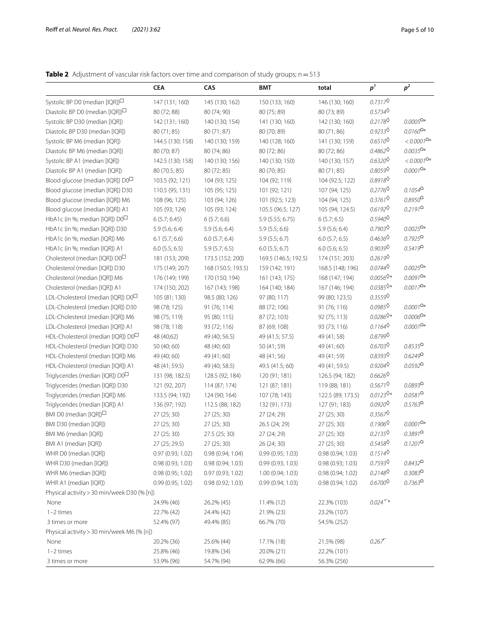## <span id="page-4-0"></span>**Table 2** Adjustment of vascular risk factors over time and comparison of study groups; n=513

|                                                | CEA                                        | CAS                | <b>BMT</b>           | total             | p <sup>1</sup>                     | p <sup>2</sup>       |  |
|------------------------------------------------|--------------------------------------------|--------------------|----------------------|-------------------|------------------------------------|----------------------|--|
| Systolic BP D0 (median [IQR]) <sup>□</sup>     | 147 (131; 160)                             | 145 (130; 162)     | 150 (133; 160)       | 146 (130; 160)    | 0.7317                             |                      |  |
| Diastolic BP D0 (median [IQR]) $\Box$          | 80 (72; 88)                                | 80 (74; 90)        | 80 (75; 89)          | 80 (73; 89)       | 0.57340                            |                      |  |
| Systolic BP D30 (median [IQR])                 | 142 (131; 160)                             | 140 (130; 154)     | 141 (130; 160)       | 142 (130; 160)    | 0.2178                             | $0.0005^{\Omega*}$   |  |
| Diastolic BP D30 (median [IQR])                | 80 (71; 85)                                | 80 (71; 87)        | 80 (70; 89)          | 80 (71; 86)       | 0.92330                            | $0.0160^{\text{O*}}$ |  |
| Systolic BP M6 (median [IQR])                  | 144.5 (130; 158)                           | 140 (130; 159)     | 140 (128; 160)       | 141 (130; 159)    | $0.6510^{\circ}$                   | $< 0.0001^{\Omega*}$ |  |
| Diastolic BP M6 (median [IQR])                 | 80 (70; 87)                                | 80 (74; 86)        | 80 (72; 86)          | 80 (72; 86)       | $0.4862^{\circ}$                   | $0.0035^{\Omega*}$   |  |
| Systolic BP A1 (median [IQR])                  | 142.5 (130; 158)                           | 140 (130; 156)     | 140 (130; 150)       | 140 (130; 157)    | $0.6320^{\circ}$                   | $< 0.0001^{\Omega*}$ |  |
| Diastolic BP A1 (median [IQR])                 | 80 (70.5; 85)                              | 80 (72; 85)        | 80 (70; 85)          | 80 (71; 85)       | 0.8059                             | $0.0001^{\Omega*}$   |  |
| Blood glucose (median [IQR]) $DO\square$       | 103.5 (92; 121)                            | 104 (93; 125)      | 104 (92; 119)        | 104 (92.5; 122)   | 0.89180                            |                      |  |
| Blood glucose (median [IQR]) D30               | 110.5 (95; 131)                            | 105 (95; 125)      | 101 (92; 121)        | 107 (94; 125)     | 0.2776                             | $0.1054^{\Omega}$    |  |
| Blood glucose (median [IQR]) M6                | 108 (96; 125)                              | 103 (94; 126)      | 101 (92.5; 123)      | 104 (94; 125)     | $0.3761^{\circ}$                   | $0.8950^{\Omega}$    |  |
| Blood glucose (median [IQR]) A1                | 105 (93; 124)                              | 105 (93; 124)      | 105.5 (96.5; 127)    | 105 (94; 124.5)   | 0.6192                             | $0.2191^{\Omega}$    |  |
| HbA1c (in %; median [IQR]) $DO\square$         | 6(5.7; 6.45)                               | 6(5.7; 6.6)        | 5.9 (5.55; 6.75)     | 6(5.7; 6.5)       | $0.5940^{\circ}$                   |                      |  |
| HbA1c (in %; median [IQR]) D30                 | 5.9(5.6; 6.4)                              | 5.9(5.6; 6.4)      | 5.9(5.5; 6.6)        | 5.9(5.6; 6.4)     | $0.7903^{\circ}$                   | $0.0025^{\Omega*}$   |  |
| HbA1c (in %; median [IQR]) M6                  | $6.1$ $(5.7; 6.6)$                         | 6.0(5.7; 6.4)      | 5.9(5.5; 6.7)        | $6.0$ (5.7; 6.5)  | $0.4636^{\circ}$                   | $0.7925^{\Omega}$    |  |
| HbA1c (in %; median [IQR]) A1                  | $6.0$ (5.5; 6.5)                           | 5.9(5.7; 6.5)      | $6.0$ (5.5; 6.7)     | $6.0$ (5.6; 6.5)  | 0.90390                            | $0.5419^{\Omega}$    |  |
| Cholesterol (median [IQR]) D0 <sup>□</sup>     | 181 (153; 209)                             | 173.5 (152; 200)   | 169.5 (146.5; 192.5) | 174 (151; 203)    | $0.2619^{\circ}$                   |                      |  |
| Cholesterol (median [IQR]) D30                 | 175 (149; 207)                             | 168 (150.5; 193.5) | 159 (142; 191)       | 168.5 (148; 196)  | $0.0744^{\circ}$                   | $0.0025^{\Omega*}$   |  |
| Cholesterol (median [IQR]) M6                  | 176 (149; 199)                             | 170 (150; 194)     | 161 (143; 175)       | 168 (147; 194)    | $0.0056^{\text{**}}$               | $0.0091^{\Omega*}$   |  |
| Cholesterol (median [IQR]) A1                  | 174 (150; 202)                             | 167 (143; 198)     | 164 (140; 184)       | 167 (146; 194)    | $0.0385^{\textstyle \lozenge*}$    | $0.0017^{\Omega*}$   |  |
| LDL-Cholesterol (median [IQR]) $D0^{\square}$  | 105 (81; 130)                              | 98.5 (80; 126)     | 97 (80; 117)         | 99 (80; 123.5)    | 0.3559                             |                      |  |
| LDL-Cholesterol (median [IQR]) D30             | 98 (78; 125)                               | 91 (76; 114)       | 88 (72; 106)         | 91 (76; 116)      | $0.0985^{\circ}$                   | $0.0001^{\Omega*}$   |  |
| LDL-Cholesterol (median [IQR]) M6              | 98 (75; 119)                               | 95 (80; 115)       | 87 (72; 103)         | 92 (75; 113)      | $0.0286^{\circ}$                   | $0.0006^{\Omega*}$   |  |
| LDL-Cholesterol (median [IQR]) A1              | 98 (78; 118)                               | 93 (72; 116)       | 87 (69; 108)         | 93 (73; 116)      | 0.11640                            | $0.0001^{\Omega*}$   |  |
| HDL-Cholesterol (median [IQR]) D0 <sup>□</sup> | 48 (40;62)                                 | 49 (40; 56.5)      | 49 (41.5; 57.5)      | 49 (41; 58)       | 0.87990                            |                      |  |
| HDL-Cholesterol (median [IQR]) D30             | 50 (40; 60)                                | 48 (40; 60)        | 50 (41; 59)          | 49 (41; 60)       | $0.6703^{\circ}$                   | $0.8535^{\Omega}$    |  |
| HDL-Cholesterol (median [IQR]) M6              | 49 (40; 60)                                | 49 (41; 60)        | 48 (41; 56)          | 49 (41; 59)       | 0.83930                            | $0.6249^{\Omega}$    |  |
| HDL-Cholesterol (median [IQR]) A1              | 48 (41; 59.5)                              | 49 (40; 58.5)      | 49.5 (41.5; 60)      | 49 (41; 59.5)     | 0.92040                            | $0.0592^{\Omega}$    |  |
| Triglycerides (median [IQR]) D0 <sup>□</sup>   | 131 (98; 182.5)                            | 128.5 (92; 184)    | 120 (91; 181)        | 126.5 (94; 182)   | $0.6626^{\circ}$                   |                      |  |
| Triglycerides (median [IQR]) D30               | 121 (92, 207)                              | 114 (87; 174)      | 121 (87; 181)        | 119 (88; 181)     | $0.5671^{\circ}$                   | $0.0893^{\Omega}$    |  |
| Triglycerides (median [IQR]) M6                | 133.5 (94; 192)                            | 124 (90; 164)      | 107 (78; 143)        | 122.5 (89; 173.5) | $0.0123^{\text{O*}}$               | $0.0581^{\Omega}$    |  |
| Triglycerides (median [IQR]) A1                | 136 (97; 192)                              | 112.5 (88; 182)    | 132 (91; 173)        | 127 (91; 183)     | $0.0920^{\circ}$                   | $0.5763^{\Omega}$    |  |
| BMI D0 (median [IQR]) $\Box$                   | 27 (25; 30)                                | 27 (25; 30)        | 27 (24; 29)          | 27 (25; 30)       | $0.3567^{\circ}$                   |                      |  |
| BMI D30 (median [IQR])                         | 27 (25; 30)                                | 27 (25; 30)        | 26.5 (24; 29)        | 27 (25; 30)       | $0.1906^{\circ}$                   | $0.0001^{\Omega*}$   |  |
| BMI M6 (median [IQR])                          | 27 (25; 30)                                | 27.5 (25; 30)      | 27 (24; 29)          | 27 (25; 30)       | 0.21350                            | $0.3891^{\Omega}$    |  |
| BMI A1 (median [IQR])                          | 27 (25; 29.5)                              | 27 (25; 30)        | 26 (24; 30)          | 27 (25; 30)       | $0.5458^\lozenge$                  | $0.1201^{\Omega}$    |  |
| WHR D0 (median [IQR])                          | 0.97(0.93; 1.02)                           | 0.98(0.94; 1.04)   | 0.99(0.95; 1.03)     | 0.98(0.94; 1.03)  | $0.1514^{\circ}$                   |                      |  |
| WHR D30 (median [IQR])                         | 0.98(0.93; 1.03)                           | 0.98(0.94; 1.03)   | 0.99 (0.93; 1.03)    | 0.98 (0.93; 1.03) | 0.7593                             | $0.8432^{\Omega}$    |  |
| WHR M6 (median [IQR])                          | 0.98(0.95; 1.02)                           | 0.97 (0.93; 1.02)  | 1.00 (0.94; 1.03)    | 0.98 (0.94; 1.02) | 0.2148                             | $0.3083^{\Omega}$    |  |
| WHR A1 (median [IQR])                          | 0.99(0.95; 1.02)                           | 0.98(0.92; 1.03)   | 0.99(0.94; 1.03)     | 0.98(0.94; 1.02)  | $0.6700^{\circ}$                   | $0.7363^{\Omega}$    |  |
| Physical activity > 30 min/week D30 (% [n])    |                                            |                    |                      |                   |                                    |                      |  |
| None                                           | 24.9% (46)                                 | 26.2% (45)         | 11.4% (12)           | 22.3% (103)       | $0.024$ <sup><math>-*</math></sup> |                      |  |
| $1-2$ times                                    | 22.7% (42)                                 | 24.4% (42)         | 21.9% (23)           | 23.2% (107)       |                                    |                      |  |
| 3 times or more                                | 52.4% (97)                                 | 49.4% (85)         | 66.7% (70)           | 54.5% (252)       |                                    |                      |  |
|                                                | Physical activity > 30 min/week M6 (% [n]) |                    |                      |                   |                                    |                      |  |
| None                                           | 20.2% (36)                                 | 25.6% (44)         | 17.1% (18)           | 21.5% (98)        | 0.267                              |                      |  |
| $1-2$ times                                    | 25.8% (46)                                 | 19.8% (34)         | 20.0% (21)           | 22.2% (101)       |                                    |                      |  |
| 3 times or more                                | 53.9% (96)                                 | 54.7% (94)         | 62.9% (66)           | 56.3% (256)       |                                    |                      |  |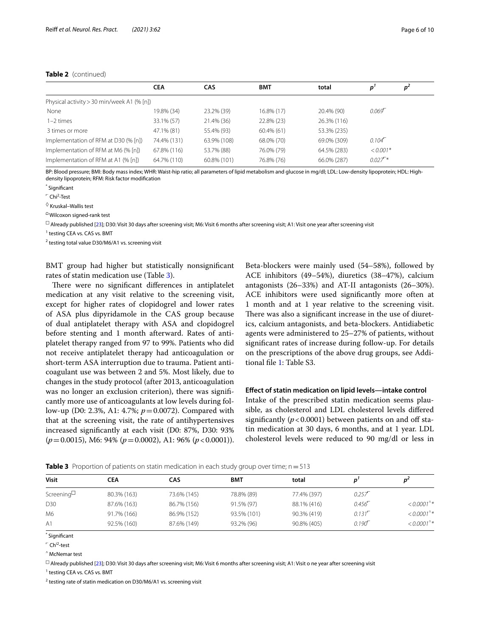#### **Table 2** (continued)

|                                            | <b>CEA</b>  | CAS         | <b>BMT</b>    | total       |                                   | p <sup>2</sup> |  |
|--------------------------------------------|-------------|-------------|---------------|-------------|-----------------------------------|----------------|--|
| Physical activity > 30 min/week A1 (% [n]) |             |             |               |             |                                   |                |  |
| None                                       | 19.8% (34)  | 23.2% (39)  | 16.8% (17)    | 20.4% (90)  | $0.069$ <sup><math>-</math></sup> |                |  |
| $1-2$ times                                | 33.1% (57)  | 21.4% (36)  | 22.8% (23)    | 26.3% (116) |                                   |                |  |
| 3 times or more                            | 47.1% (81)  | 55.4% (93)  | $60.4\%$ (61) | 53.3% (235) |                                   |                |  |
| Implementation of RFM at D30 (% [n])       | 74.4% (131) | 63.9% (108) | 68.0% (70)    | 69.0% (309) | $0.104$ <sup><math>-</math></sup> |                |  |
| Implementation of RFM at M6 (% [n])        | 67.8% (116) | 53.7% (88)  | 76.0% (79)    | 64.5% (283) | $< 0.001*$                        |                |  |
| Implementation of RFM at A1 (% [n])        | 64.7% (110) | 60.8% (101) | 76.8% (76)    | 66.0% (287) | $0.027$ <sup>*</sup>              |                |  |

BP: Blood pressure; BMI: Body mass index; WHR: Waist-hip ratio; all parameters of lipid metabolism and glucose in mg/dl; LDL: Low-density lipoprotein; HDL: Highdensity lipoprotein; RFM: Risk factor modifcation

\* Signifcant

<sup>-</sup> Chi<sup>2</sup>-Test

 $\diamond$  Kruskal–Wallis test

⌂ Wilcoxon signed-rank test

 $\Box$  Already published [\[23](#page-9-2)]; D30: Visit 30 days after screening visit; M6: Visit 6 months after screening visit; A1: Visit one year after screening visit

<sup>1</sup> testing CEA vs. CAS vs. BMT

<sup>2</sup> testing total value D30/M6/A1 vs. screening visit

BMT group had higher but statistically nonsignifcant rates of statin medication use (Table [3](#page-5-0)).

There were no significant differences in antiplatelet medication at any visit relative to the screening visit, except for higher rates of clopidogrel and lower rates of ASA plus dipyridamole in the CAS group because of dual antiplatelet therapy with ASA and clopidogrel before stenting and 1 month afterward. Rates of antiplatelet therapy ranged from 97 to 99%. Patients who did not receive antiplatelet therapy had anticoagulation or short-term ASA interruption due to trauma. Patient anticoagulant use was between 2 and 5%. Most likely, due to changes in the study protocol (after 2013, anticoagulation was no longer an exclusion criterion), there was signifcantly more use of anticoagulants at low levels during follow-up (D0: 2.3%, A1: 4.7%; *p*=0.0072). Compared with that at the screening visit, the rate of antihypertensives increased signifcantly at each visit (D0: 87%, D30: 93% (*p*=0.0015), M6: 94% (*p*=0.0002), A1: 96% (*p*<0.0001)).

Beta-blockers were mainly used (54–58%), followed by ACE inhibitors (49–54%), diuretics (38–47%), calcium antagonists (26–33%) and AT-II antagonists (26–30%). ACE inhibitors were used signifcantly more often at 1 month and at 1 year relative to the screening visit. There was also a significant increase in the use of diuretics, calcium antagonists, and beta-blockers. Antidiabetic agents were administered to 25–27% of patients, without signifcant rates of increase during follow-up. For details on the prescriptions of the above drug groups, see Additional fle [1](#page-7-0): Table S3.

#### **Efect of statin medication on lipid levels—intake control**

Intake of the prescribed statin medication seems plausible, as cholesterol and LDL cholesterol levels difered significantly  $(p < 0.0001)$  between patients on and off statin medication at 30 days, 6 months, and at 1 year. LDL cholesterol levels were reduced to 90 mg/dl or less in

<span id="page-5-0"></span>

| <b>Table 3</b> Proportion of patients on statin medication in each study group over time; n = 513 |  |
|---------------------------------------------------------------------------------------------------|--|
|---------------------------------------------------------------------------------------------------|--|

| Visit      | CEA         | CAS         | <b>BMT</b>  | total       |                                   | n                        |
|------------|-------------|-------------|-------------|-------------|-----------------------------------|--------------------------|
| Screening⊔ | 80.3% (163) | 73.6% (145) | 78.8% (89)  | 77.4% (397) | 0.257                             |                          |
| D30        | 87.6% (163) | 86.7% (156) | 91.5% (97)  | 88.1% (416) | 0.456                             | $< 0.0001$ <sup>**</sup> |
| M6         | 91.7% (166) | 86.9% (152) | 93.5% (101) | 90.3% (419) | $0.131$ <sup><math>-</math></sup> | $< 0.0001$ <sup>^*</sup> |
| A1         | 92.5% (160) | 87.6% (149) | 93.2% (96)  | 90.8% (405) | 0.190 <sup>r</sup>                | $< 0.0001$ <sup>^*</sup> |
|            |             |             |             |             |                                   |                          |

\* Signifcant

 $\sqrt{\phantom{a}}$  Ch<sup>i2</sup>-test

^ McNemar test

 $\Box$  Already published [\[23](#page-9-2)]; D30: Visit 30 days after screening visit; M6: Visit 6 months after screening visit; A1: Visit o ne year after screening visit

<sup>1</sup> testing CEA vs. CAS vs. BMT

 $2$  testing rate of statin medication on D30/M6/A1 vs. screening visit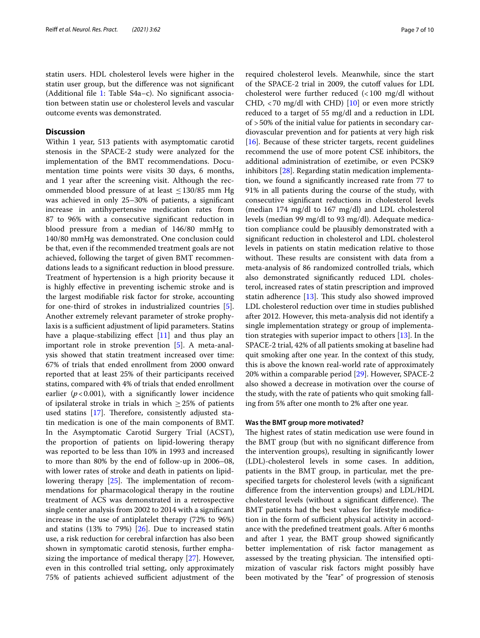statin users. HDL cholesterol levels were higher in the statin user group, but the diference was not signifcant (Additional fle [1:](#page-7-0) Table S4a–c). No signifcant association between statin use or cholesterol levels and vascular outcome events was demonstrated.

#### **Discussion**

Within 1 year, 513 patients with asymptomatic carotid stenosis in the SPACE-2 study were analyzed for the implementation of the BMT recommendations. Documentation time points were visits 30 days, 6 months, and 1 year after the screening visit. Although the recommended blood pressure of at least  $\leq$ 130/85 mm Hg was achieved in only 25–30% of patients, a signifcant increase in antihypertensive medication rates from 87 to 96% with a consecutive signifcant reduction in blood pressure from a median of 146/80 mmHg to 140/80 mmHg was demonstrated. One conclusion could be that, even if the recommended treatment goals are not achieved, following the target of given BMT recommendations leads to a signifcant reduction in blood pressure. Treatment of hypertension is a high priority because it is highly efective in preventing ischemic stroke and is the largest modifable risk factor for stroke, accounting for one-third of strokes in industrialized countries [\[5](#page-8-4)]. Another extremely relevant parameter of stroke prophylaxis is a sufficient adjustment of lipid parameters. Statins have a plaque-stabilizing effect  $[11]$  $[11]$  and thus play an important role in stroke prevention [\[5\]](#page-8-4). A meta-analysis showed that statin treatment increased over time: 67% of trials that ended enrollment from 2000 onward reported that at least 25% of their participants received statins, compared with 4% of trials that ended enrollment earlier  $(p<0.001)$ , with a significantly lower incidence of ipsilateral stroke in trials in which  $\geq$  25% of patients used statins  $[17]$  $[17]$ . Therefore, consistently adjusted statin medication is one of the main components of BMT. In the Asymptomatic Carotid Surgery Trial (ACST), the proportion of patients on lipid-lowering therapy was reported to be less than 10% in 1993 and increased to more than 80% by the end of follow-up in 2006–08, with lower rates of stroke and death in patients on lipidlowering therapy  $[25]$  $[25]$  $[25]$ . The implementation of recommendations for pharmacological therapy in the routine treatment of ACS was demonstrated in a retrospective single center analysis from 2002 to 2014 with a signifcant increase in the use of antiplatelet therapy (72% to 96%) and statins (13% to 79%) [[26\]](#page-9-5). Due to increased statin use, a risk reduction for cerebral infarction has also been shown in symptomatic carotid stenosis, further emphasizing the importance of medical therapy [[27\]](#page-9-6). However, even in this controlled trial setting, only approximately 75% of patients achieved sufficient adjustment of the required cholesterol levels. Meanwhile, since the start of the SPACE-2 trial in 2009, the cutoff values for LDL cholesterol were further reduced (<100 mg/dl without CHD,  $\langle$  70 mg/dl with CHD) [\[10](#page-8-7)] or even more strictly reduced to a target of 55 mg/dl and a reduction in LDL of >50% of the initial value for patients in secondary cardiovascular prevention and for patients at very high risk [[16\]](#page-8-13). Because of these stricter targets, recent guidelines recommend the use of more potent CSE inhibitors, the additional administration of ezetimibe, or even PCSK9 inhibitors [\[28](#page-9-7)]. Regarding statin medication implementation, we found a signifcantly increased rate from 77 to 91% in all patients during the course of the study, with consecutive signifcant reductions in cholesterol levels (median 174 mg/dl to 167 mg/dl) and LDL cholesterol levels (median 99 mg/dl to 93 mg/dl). Adequate medication compliance could be plausibly demonstrated with a signifcant reduction in cholesterol and LDL cholesterol levels in patients on statin medication relative to those without. These results are consistent with data from a meta-analysis of 86 randomized controlled trials, which also demonstrated signifcantly reduced LDL cholesterol, increased rates of statin prescription and improved statin adherence  $[13]$  $[13]$ . This study also showed improved LDL cholesterol reduction over time in studies published after 2012. However, this meta-analysis did not identify a single implementation strategy or group of implementation strategies with superior impact to others [\[13](#page-8-10)]. In the SPACE-2 trial, 42% of all patients smoking at baseline had quit smoking after one year. In the context of this study, this is above the known real-world rate of approximately 20% within a comparable period [\[29](#page-9-8)]. However, SPACE-2 also showed a decrease in motivation over the course of the study, with the rate of patients who quit smoking falling from 5% after one month to 2% after one year.

#### **Was the BMT group more motivated?**

The highest rates of statin medication use were found in the BMT group (but with no signifcant diference from the intervention groups), resulting in signifcantly lower (LDL)-cholesterol levels in some cases. In addition, patients in the BMT group, in particular, met the prespecifed targets for cholesterol levels (with a signifcant diference from the intervention groups) and LDL/HDL cholesterol levels (without a significant difference). The BMT patients had the best values for lifestyle modifcation in the form of sufficient physical activity in accordance with the predefned treatment goals. After 6 months and after 1 year, the BMT group showed signifcantly better implementation of risk factor management as assessed by the treating physician. The intensified optimization of vascular risk factors might possibly have been motivated by the "fear" of progression of stenosis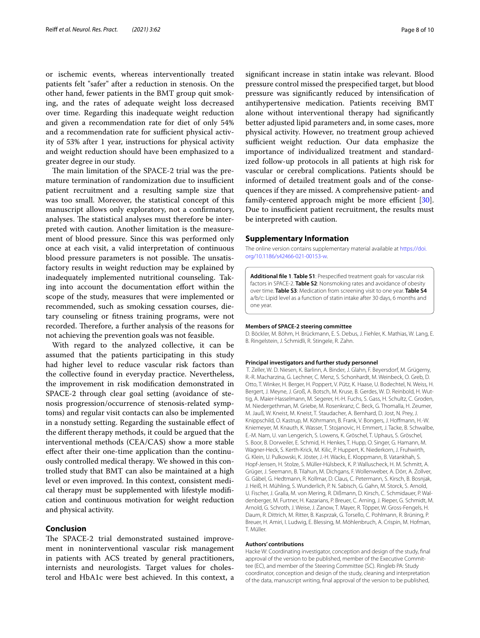or ischemic events, whereas interventionally treated patients felt "safer" after a reduction in stenosis. On the other hand, fewer patients in the BMT group quit smoking, and the rates of adequate weight loss decreased over time. Regarding this inadequate weight reduction and given a recommendation rate for diet of only 54% and a recommendation rate for sufficient physical activity of 53% after 1 year, instructions for physical activity and weight reduction should have been emphasized to a greater degree in our study.

The main limitation of the SPACE-2 trial was the premature termination of randomization due to insufficient patient recruitment and a resulting sample size that was too small. Moreover, the statistical concept of this manuscript allows only exploratory, not a confrmatory, analyses. The statistical analyses must therefore be interpreted with caution. Another limitation is the measurement of blood pressure. Since this was performed only once at each visit, a valid interpretation of continuous blood pressure parameters is not possible. The unsatisfactory results in weight reduction may be explained by inadequately implemented nutritional counseling. Taking into account the documentation effort within the scope of the study, measures that were implemented or recommended, such as smoking cessation courses, dietary counseling or ftness training programs, were not recorded. Therefore, a further analysis of the reasons for not achieving the prevention goals was not feasible.

With regard to the analyzed collective, it can be assumed that the patients participating in this study had higher level to reduce vascular risk factors than the collective found in everyday practice. Nevertheless, the improvement in risk modifcation demonstrated in SPACE-2 through clear goal setting (avoidance of stenosis progression/occurrence of stenosis-related symptoms) and regular visit contacts can also be implemented in a nonstudy setting. Regarding the sustainable efect of the diferent therapy methods, it could be argued that the interventional methods (CEA/CAS) show a more stable efect after their one-time application than the continuously controlled medical therapy. We showed in this controlled study that BMT can also be maintained at a high level or even improved. In this context, consistent medical therapy must be supplemented with lifestyle modifcation and continuous motivation for weight reduction and physical activity.

#### **Conclusion**

The SPACE-2 trial demonstrated sustained improvement in noninterventional vascular risk management in patients with ACS treated by general practitioners, internists and neurologists. Target values for cholesterol and HbA1c were best achieved. In this context, a

signifcant increase in statin intake was relevant. Blood pressure control missed the prespecifed target, but blood pressure was signifcantly reduced by intensifcation of antihypertensive medication. Patients receiving BMT alone without interventional therapy had signifcantly better adjusted lipid parameters and, in some cases, more physical activity. However, no treatment group achieved sufficient weight reduction. Our data emphasize the importance of individualized treatment and standardized follow-up protocols in all patients at high risk for vascular or cerebral complications. Patients should be informed of detailed treatment goals and of the consequences if they are missed. A comprehensive patient- and family-centered approach might be more efficient [\[30](#page-9-9)]. Due to insufficient patient recruitment, the results must be interpreted with caution.

#### **Supplementary Information**

The online version contains supplementary material available at [https://doi.](https://doi.org/10.1186/s42466-021-00153-w) [org/10.1186/s42466-021-00153-w.](https://doi.org/10.1186/s42466-021-00153-w)

<span id="page-7-0"></span>**Additional fle 1**. **Table S1**: Prespecifed treatment goals for vascular risk factors in SPACE-2. **Table S2**: Nonsmoking rates and avoidance of obesity over time. **Table S3**: Medication from screening visit to one year. **Table S4** a/b/c: Lipid level as a function of statin intake after 30 days, 6 months and one year.

#### **Members of SPACE-2 steering committee**

D. Böckler, M. Böhm, H. Brückmann, E. S. Debus, J. Fiehler, K. Mathias, W. Lang, E. B. Ringelstein, J. Schmidli, R. Stingele, R. Zahn.

#### **Principal investigators and further study personnel**

 T. Zeller, W. D. Niesen, K. Barlinn, A. Binder, J. Glahn, F. Beyersdorf, M. Grügerny, R.-R. Macharzina, G. Lechner, C. Menz, S. Schonhardt, M. Weinbeck, O. Greb, D. Otto, T. Winker, H. Berger, H. Poppert, V. Pütz, K. Haase, U. Bodechtel, N. Weiss, H. Bergert, J. Meyne, J. Groß, A. Botsch, M. Kruse, B. Gerdes, W. D. Reinbold, H. Wuttig, A. Maier-Hasselmann, M. Segerer, H.-H. Fuchs, S. Gass, H. Schultz, C. Groden, M. Niedergethman, M. Griebe, M. Rosenkranz, C. Beck, G. Thomalla, H. Zeumer, M. Jauß, W. Kneist, M. Kneist, T. Staudacher, A. Bernhard, D. Jost, N. Prey, J. Knippschild, O. Kastrup, M. Köhrmann, B. Frank, V. Bongers, J. Hofmann, H.-W. Kniemeyer, M. Knauth, K. Wasser, T. Stojanovic, H. Emmert, J. Tacke, B. Schwalbe, E.-M. Nam, U. van Lengerich, S. Lowens, K. Gröschel, T. Uphaus, S. Gröschel, S. Boor, B. Dorweiler, E. Schmid, H. Henkes, T. Hupp, O. Singer, G. Hamann, M. Wagner-Heck, S. Kerth-Krick, M. Kilic, P. Huppert, K. Niederkorn, J. Fruhwirth, G. Klein, U. Pulkowski, K. Jöster, J.-H. Wacks, E. Kloppmann, B. Vatankhah, S. Hopf-Jensen, H. Stolze, S. Müller-Hülsbeck, K. P. Walluscheck, H. M. Schmitt, A. Grüger, J. Seemann, B. Tilahun, M. Dichgans, F. Wollenweber, A. Dörr, A. Zollver, G. Gäbel, G. Hedtmann, R. Kollmar, D. Claus, C. Petermann, S. Kirsch, B. Bosnjak, J. Heiß, H. Mühling, S. Wunderlich, P. N. Sabisch, G. Gahn, M. Storck, S. Arnold, U. Fischer, J. Gralla, M. von Mering, R. Dißmann, D. Kirsch, C. Schmidauer, P. Waldenberger, M. Furtner, H. Kazarians, P. Breuer, C. Arning, J. Rieper, G. Schmidt, M. Arnold, G. Schroth, J. Weise, J. Zanow, T. Mayer, R. Töpper, W. Gross-Fengels, H. Daum, R. Dittrich, M. Ritter, B. Kasprzak, G. Torsello, C. Pohlmann, R. Brüning, P. Breuer, H. Amiri, I. Ludwig, E. Blessing, M. Möhlenbruch, A. Crispin, M. Hofman, T. Müller.

#### **Authors' contributions**

Hacke W: Coordinating investigator, conception and design of the study, fnal approval of the version to be published, member of the Executive Committee (EC), and member of the Steering Committee (SC). Ringleb PA: Study coordinator, conception and design of the study, cleaning and interpretation of the data, manuscript writing, fnal approval of the version to be published,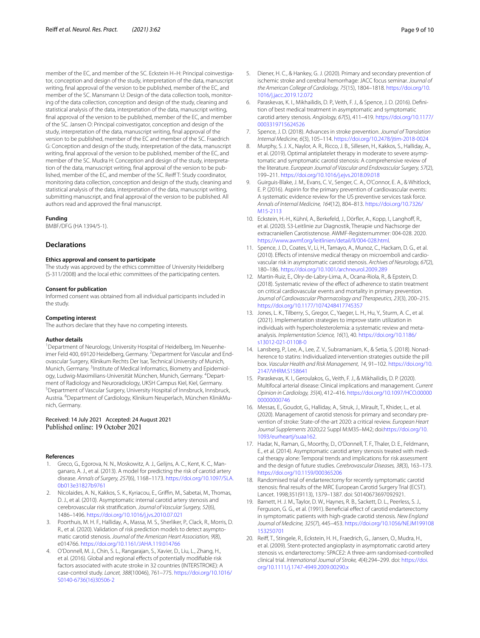member of the EC, and member of the SC. Eckstein H-H: Principal coinvestigator, conception and design of the study, interpretation of the data, manuscript writing, fnal approval of the version to be published, member of the EC, and member of the SC. Mansmann U: Design of the data collection tools, monitoring of the data collection, conception and design of the study, cleaning and statistical analysis of the data, interpretation of the data, manuscript writing, fnal approval of the version to be published, member of the EC, and member of the SC. Jansen O: Principal coinvestigator, conception and design of the study, interpretation of the data, manuscript writing, fnal approval of the version to be published, member of the EC and member of the SC. Fraedrich G: Conception and design of the study, interpretation of the data, manuscript writing, fnal approval of the version to be published, member of the EC, and member of the SC. Mudra H: Conception and design of the study, interpretation of the data, manuscript writing, final approval of the version to be published, member of the EC, and member of the SC. Reif T: Study coordinator, monitoring data collection, conception and design of the study, cleaning and statistical analysis of the data, interpretation of the data, manuscript writing, submitting manuscript, and fnal approval of the version to be published. All authors read and approved the fnal manuscript.

#### **Funding**

BMBF/DFG (HA 1394/5-1).

#### **Declarations**

#### **Ethics approval and consent to participate**

The study was approved by the ethics committee of University Heidelberg (S-311/2008) and the local ethic committees of the participating centers.

#### **Consent for publication**

Informed consent was obtained from all individual participants included in the study.

#### **Competing interest**

The authors declare that they have no competing interests.

#### **Author details**

<sup>1</sup> Department of Neurology, University Hospital of Heidelberg, Im Neuenheimer Feld 400, 69120 Heidelberg, Germany. <sup>2</sup> Department for Vascular and Endovascular Surgery, Klinikum Rechts Der Isar, Technical University of Munich, Munich, Germany. <sup>3</sup>Institute of Medical Informatics, Biometry and Epidemiology, Ludwig-Maximilians-Universität München, Munich, Germany. <sup>4</sup>Department of Radiology and Neuroradiology, UKSH Campus Kiel, Kiel, Germany. Department of Vascular Surgery, University Hospital of Innsbruck, Innsbruck, Austria. <sup>6</sup>Department of Cardiology, Klinikum Neuperlach, München KlinikMunich, Germany.

# Received: 14 July 2021 Accepted: 24 August 2021<br>Published online: 19 October 2021

#### **References**

- <span id="page-8-0"></span>1. Greco, G., Egorova, N. N., Moskowitz, A. J., Gelijns, A. C., Kent, K. C., Manganaro, A. J., et al. (2013). A model for predicting the risk of carotid artery disease. *Annals of Surgery, 257*(6), 1168–1173. [https://doi.org/10.1097/SLA.](https://doi.org/10.1097/SLA.0b013e31827b9761) [0b013e31827b9761](https://doi.org/10.1097/SLA.0b013e31827b9761)
- <span id="page-8-1"></span>2. Nicolaides, A. N., Kakkos, S. K., Kyriacou, E., Grifn, M., Sabetai, M., Thomas, D. J., et al. (2010). Asymptomatic internal carotid artery stenosis and cerebrovascular risk stratifcation. *Journal of Vascular Surgery, 52*(6), 1486–1496. <https://doi.org/10.1016/j.jvs.2010.07.021>
- <span id="page-8-2"></span>3. Poorthuis, M. H. F., Halliday, A., Massa, M. S., Sherliker, P., Clack, R., Morris, D. R., et al. (2020). Validation of risk prediction models to detect asymptomatic carotid stenosis. *Journal of the American Heart Association, 9*(8), e014766.<https://doi.org/10.1161/JAHA.119.014766>
- <span id="page-8-3"></span>4. O'Donnell, M. J., Chin, S. L., Rangarajan, S., Xavier, D., Liu, L., Zhang, H., et al. (2016). Global and regional effects of potentially modifiable risk factors associated with acute stroke in 32 countries (INTERSTROKE): A case-control study. *Lancet, 388*(10046), 761–775. [https://doi.org/10.1016/](https://doi.org/10.1016/S0140-6736(16)30506-2) [S0140-6736\(16\)30506-2](https://doi.org/10.1016/S0140-6736(16)30506-2)
- <span id="page-8-4"></span>5. Diener, H. C., & Hankey, G. J. (2020). Primary and secondary prevention of ischemic stroke and cerebral hemorrhage: JACC focus seminar. *Journal of the American College of Cardiology, 75*(15), 1804–1818. [https://doi.org/10.](https://doi.org/10.1016/j.jacc.2019.12.072) [1016/j.jacc.2019.12.072](https://doi.org/10.1016/j.jacc.2019.12.072)
- <span id="page-8-14"></span>6. Paraskevas, K. I., Mikhailidis, D. P., Veith, F. J., & Spence, J. D. (2016). Defni‑ tion of best medical treatment in asymptomatic and symptomatic carotid artery stenosis. *Angiology, 67*(5), 411–419. [https://doi.org/10.1177/](https://doi.org/10.1177/0003319715624526) [0003319715624526](https://doi.org/10.1177/0003319715624526)
- <span id="page-8-5"></span>7. Spence, J. D. (2018). Advances in stroke prevention. *Journal of Translation Internal Medicine, 6*(3), 105–114. <https://doi.org/10.2478/jtim-2018-0024>
- <span id="page-8-6"></span>8. Murphy, S. J. X., Naylor, A. R., Ricco, J. B., Sillesen, H., Kakkos, S., Halliday, A., et al. (2019). Optimal antiplatelet therapy in moderate to severe asymptomatic and symptomatic carotid stenosis: A comprehensive review of the literature. *European Journal of Vascular and Endovascular Surgery, 57*(2), 199–211.<https://doi.org/10.1016/j.ejvs.2018.09.018>
- Guirguis-Blake, J. M., Evans, C. V., Senger, C. A., O'Connor, E. A., & Whitlock, E. P. (2016). Aspirin for the primary prevention of cardiovascular events: A systematic evidence review for the US preventive services task force. *Annals of Internal Medicine, 164*(12), 804–813. [https://doi.org/10.7326/](https://doi.org/10.7326/M15-2113) [M15-2113](https://doi.org/10.7326/M15-2113)
- <span id="page-8-7"></span>10. Eckstein, H.-H., Kühnl, A., Berkefeld, J., Dörfler, A., Kopp, I., Langhoff, R., et al. (2020). S3-Leitlinie zur Diagnostik, Therapie und Nachsorge der extracraniellen Carotisstenose. AWMF-Registernummer: 004-028. 2020. [https://www.awmf.org/leitlinien/detail/ll/004-028.html.](https://www.awmf.org/leitlinien/detail/ll/004-028.html)
- <span id="page-8-8"></span>11. Spence, J. D., Coates, V., Li, H., Tamayo, A., Munoz, C., Hackam, D. G., et al. (2010). Effects of intensive medical therapy on microemboli and cardiovascular risk in asymptomatic carotid stenosis. *Archives of Neurology, 67*(2), 180–186.<https://doi.org/10.1001/archneurol.2009.289>
- <span id="page-8-9"></span>12. Martin-Ruiz, E., Olry-de-Labry-Lima, A., Ocana-Riola, R., & Epstein, D. (2018). Systematic review of the effect of adherence to statin treatment on critical cardiovascular events and mortality in primary prevention. *Journal of Cardiovascular Pharmacology and Therapeutics, 23*(3), 200–215. <https://doi.org/10.1177/1074248417745357>
- <span id="page-8-10"></span>13. Jones, L. K., Tilberry, S., Gregor, C., Yaeger, L. H., Hu, Y., Sturm, A. C., et al. (2021). Implementation strategies to improve statin utilization in individuals with hypercholesterolemia: a systematic review and metaanalysis. *Implementation Science, 16*(1), 40. [https://doi.org/10.1186/](https://doi.org/10.1186/s13012-021-01108-0) [s13012-021-01108-0](https://doi.org/10.1186/s13012-021-01108-0)
- <span id="page-8-11"></span>14. Lansberg, P., Lee, A., Lee, Z. V., Subramaniam, K., & Setia, S. (2018). Nonadherence to statins: Individualized intervention strategies outside the pill box. *Vascular Health and Risk Management, 14*, 91–102. [https://doi.org/10.](https://doi.org/10.2147/VHRM.S158641) [2147/VHRM.S158641](https://doi.org/10.2147/VHRM.S158641)
- <span id="page-8-12"></span>15. Paraskevas, K. I., Geroulakos, G., Veith, F. J., & Mikhailidis, D. P. (2020). Multifocal arterial disease: Clinical implications and management. *Current Opinion in Cardiology, 35*(4), 412–416. [https://doi.org/10.1097/HCO.00000](https://doi.org/10.1097/HCO.0000000000000746) [00000000746](https://doi.org/10.1097/HCO.0000000000000746)
- <span id="page-8-13"></span>16. Messas, E., Goudot, G., Halliday, A., Sitruk, J., Mirault, T., Khider, L., et al. (2020). Management of carotid stenosis for primary and secondary prevention of stroke: State-of-the-art 2020: a critical review. *European Heart Journal Supplements* 2020;22 Suppl M:M35–M42; doi[:https://doi.org/10.](https://doi.org/10.1093/eurheartj/suaa162) [1093/eurheartj/suaa162](https://doi.org/10.1093/eurheartj/suaa162).
- <span id="page-8-15"></span>17. Hadar, N., Raman, G., Moorthy, D., O'Donnell, T. F., Thaler, D. E., Feldmann, E., et al. (2014). Asymptomatic carotid artery stenosis treated with medical therapy alone: Temporal trends and implications for risk assessment and the design of future studies. *Cerebrovascular Diseases, 38*(3), 163–173. <https://doi.org/10.1159/000365206>
- <span id="page-8-16"></span>18. Randomised trial of endarterectomy for recently symptomatic carotid stenosis: fnal results of the MRC European Carotid Surgery Trial (ECST). Lancet. 1998;351(9113), 1379–1387. doi: S0140673697092921.
- <span id="page-8-17"></span>19. Barnett, H. J. M., Taylor, D. W., Haynes, R. B., Sackett, D. L., Peerless, S. J., Ferguson, G. G., et al. (1991). Beneficial effect of carotid endarterectomy in symptomatic patients with high-grade carotid stenosis. *New England Journal of Medicine, 325*(7), 445–453. [https://doi.org/10.1056/NEJM199108](https://doi.org/10.1056/NEJM199108153250701) [153250701](https://doi.org/10.1056/NEJM199108153250701)
- <span id="page-8-18"></span>20. Reif, T., Stingele, R., Eckstein, H. H., Fraedrich, G., Jansen, O., Mudra, H., et al. (2009). Stent-protected angioplasty in asymptomatic carotid artery stenosis vs. endarterectomy: SPACE2: A three-arm randomised-controlled clinical trial. *International Journal of Stroke, 4*(4):294–299. doi: [https://doi.](https://doi.org/10.1111/j.1747-4949.2009.00290.x) [org/10.1111/j.1747-4949.2009.00290.x](https://doi.org/10.1111/j.1747-4949.2009.00290.x)